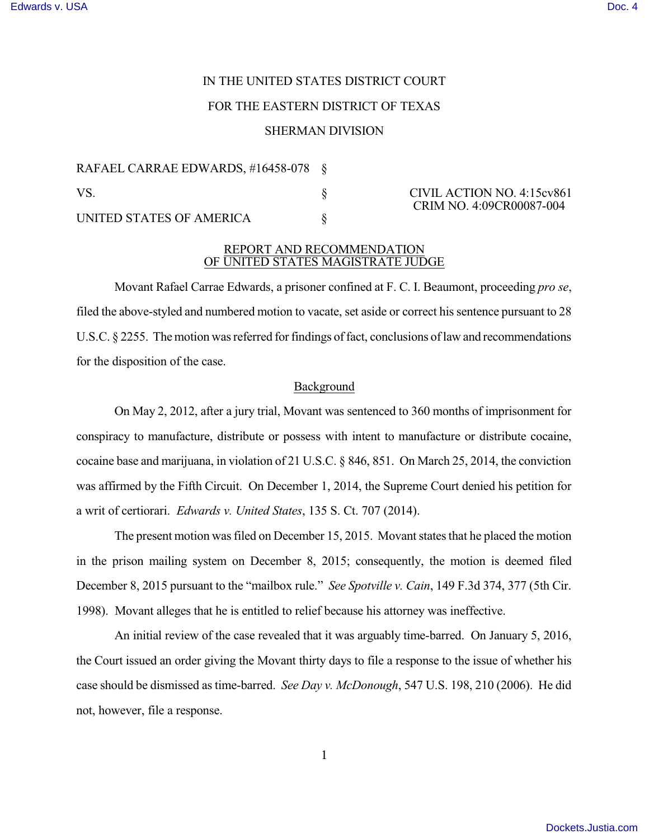# IN THE UNITED STATES DISTRICT COURT

# FOR THE EASTERN DISTRICT OF TEXAS

## SHERMAN DIVISION

RAFAEL CARRAE EDWARDS, #16458-078 § VS. S CIVIL ACTION NO. 4:15cv861 UNITED STATES OF AMERICA  $\S$ 

CRIM NO. 4:09CR00087-004

### REPORT AND RECOMMENDATION OF UNITED STATES MAGISTRATE JUDGE

Movant Rafael Carrae Edwards, a prisoner confined at F. C. I. Beaumont, proceeding *pro se*, filed the above-styled and numbered motion to vacate, set aside or correct his sentence pursuant to 28 U.S.C.  $\S 2255$ . The motion was referred for findings of fact, conclusions of law and recommendations for the disposition of the case.

## Background

On May 2, 2012, after a jury trial, Movant was sentenced to 360 months of imprisonment for conspiracy to manufacture, distribute or possess with intent to manufacture or distribute cocaine, cocaine base and marijuana, in violation of 21 U.S.C. § 846, 851. On March 25, 2014, the conviction was affirmed by the Fifth Circuit. On December 1, 2014, the Supreme Court denied his petition for a writ of certiorari. *Edwards v. United States*, 135 S. Ct. 707 (2014).

The present motion was filed on December 15, 2015. Movant states that he placed the motion in the prison mailing system on December 8, 2015; consequently, the motion is deemed filed December 8, 2015 pursuant to the "mailbox rule." *See Spotville v. Cain*, 149 F.3d 374, 377 (5th Cir. 1998). Movant alleges that he is entitled to relief because his attorney was ineffective.

An initial review of the case revealed that it was arguably time-barred. On January 5, 2016, the Court issued an order giving the Movant thirty days to file a response to the issue of whether his case should be dismissed as time-barred. *See Day v. McDonough*, 547 U.S. 198, 210 (2006). He did not, however, file a response.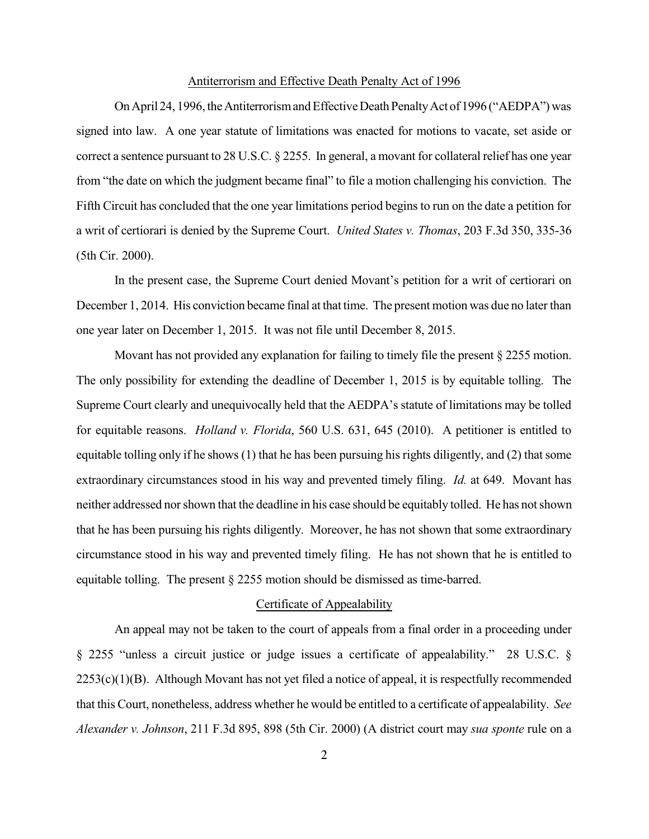#### Antiterrorism and Effective Death Penalty Act of 1996

On April 24, 1996, the Antiterrorism and Effective Death Penalty Act of 1996 ("AEDPA") was signed into law. A one year statute of limitations was enacted for motions to vacate, set aside or correct a sentence pursuant to 28 U.S.C. § 2255. In general, a movant for collateral relief has one year from "the date on which the judgment became final" to file a motion challenging his conviction. The Fifth Circuit has concluded that the one year limitations period begins to run on the date a petition for a writ of certiorari is denied by the Supreme Court. *United States v. Thomas*, 203 F.3d 350, 335-36 (5th Cir. 2000).

In the present case, the Supreme Court denied Movant's petition for a writ of certiorari on December 1, 2014. His conviction became final at that time. The present motion was due no later than one year later on December 1, 2015. It was not file until December 8, 2015.

Movant has not provided any explanation for failing to timely file the present § 2255 motion. The only possibility for extending the deadline of December 1, 2015 is by equitable tolling. The Supreme Court clearly and unequivocally held that the AEDPA's statute of limitations may be tolled for equitable reasons. *Holland v. Florida*, 560 U.S. 631, 645 (2010). A petitioner is entitled to equitable tolling only if he shows  $(1)$  that he has been pursuing his rights diligently, and  $(2)$  that some extraordinary circumstances stood in his way and prevented timely filing. *Id.* at 649. Movant has neither addressed norshown that the deadline in his case should be equitably tolled. He has notshown that he has been pursuing his rights diligently. Moreover, he has not shown that some extraordinary circumstance stood in his way and prevented timely filing. He has not shown that he is entitled to equitable tolling. The present § 2255 motion should be dismissed as time-barred.

#### Certificate of Appealability

An appeal may not be taken to the court of appeals from a final order in a proceeding under § 2255 "unless a circuit justice or judge issues a certificate of appealability." 28 U.S.C. § 2253(c)(1)(B). Although Movant has not yet filed a notice of appeal, it is respectfully recommended that this Court, nonetheless, address whether he would be entitled to a certificate of appealability. *See Alexander v. Johnson*, 211 F.3d 895, 898 (5th Cir. 2000) (A district court may *sua sponte* rule on a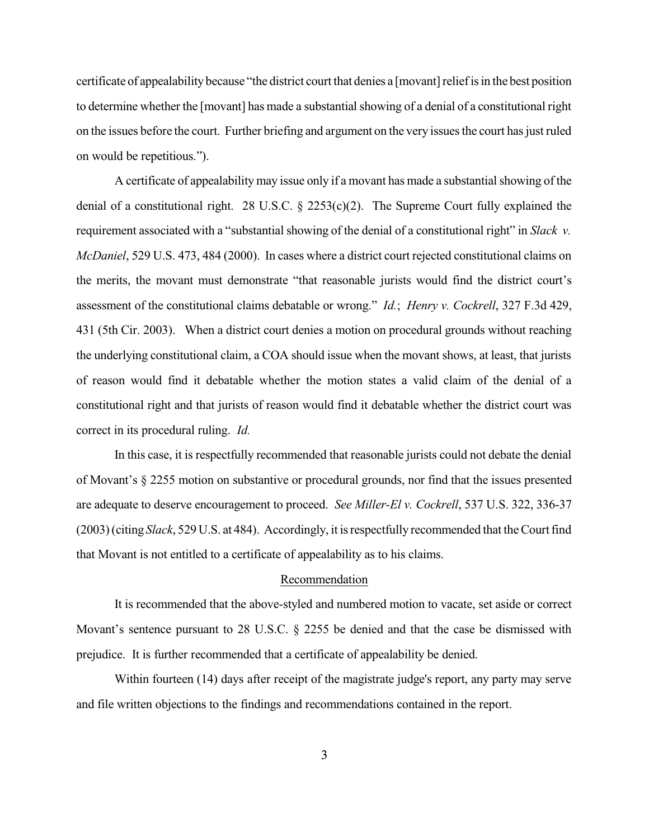certificate of appealability because "the district court that denies a [movant] relief is in the best position to determine whether the [movant] has made a substantialshowing of a denial of a constitutional right on the issues before the court. Further briefing and argument on the very issuesthe court hasjust ruled on would be repetitious.").

A certificate of appealability may issue only if a movant has made a substantial showing of the denial of a constitutional right. 28 U.S.C. § 2253(c)(2). The Supreme Court fully explained the requirement associated with a "substantial showing of the denial of a constitutional right" in *Slack v. McDaniel*, 529 U.S. 473, 484 (2000). In cases where a district court rejected constitutional claims on the merits, the movant must demonstrate "that reasonable jurists would find the district court's assessment of the constitutional claims debatable or wrong." *Id.*; *Henry v. Cockrell*, 327 F.3d 429, 431 (5th Cir. 2003). When a district court denies a motion on procedural grounds without reaching the underlying constitutional claim, a COA should issue when the movant shows, at least, that jurists of reason would find it debatable whether the motion states a valid claim of the denial of a constitutional right and that jurists of reason would find it debatable whether the district court was correct in its procedural ruling. *Id.*

In this case, it is respectfully recommended that reasonable jurists could not debate the denial of Movant's § 2255 motion on substantive or procedural grounds, nor find that the issues presented are adequate to deserve encouragement to proceed. *See Miller-El v. Cockrell*, 537 U.S. 322, 336-37 (2003)(citing *Slack*, 529 U.S. at 484). Accordingly, it isrespectfully recommended that theCourtfind that Movant is not entitled to a certificate of appealability as to his claims.

# Recommendation

It is recommended that the above-styled and numbered motion to vacate, set aside or correct Movant's sentence pursuant to 28 U.S.C. § 2255 be denied and that the case be dismissed with prejudice. It is further recommended that a certificate of appealability be denied.

Within fourteen (14) days after receipt of the magistrate judge's report, any party may serve and file written objections to the findings and recommendations contained in the report.